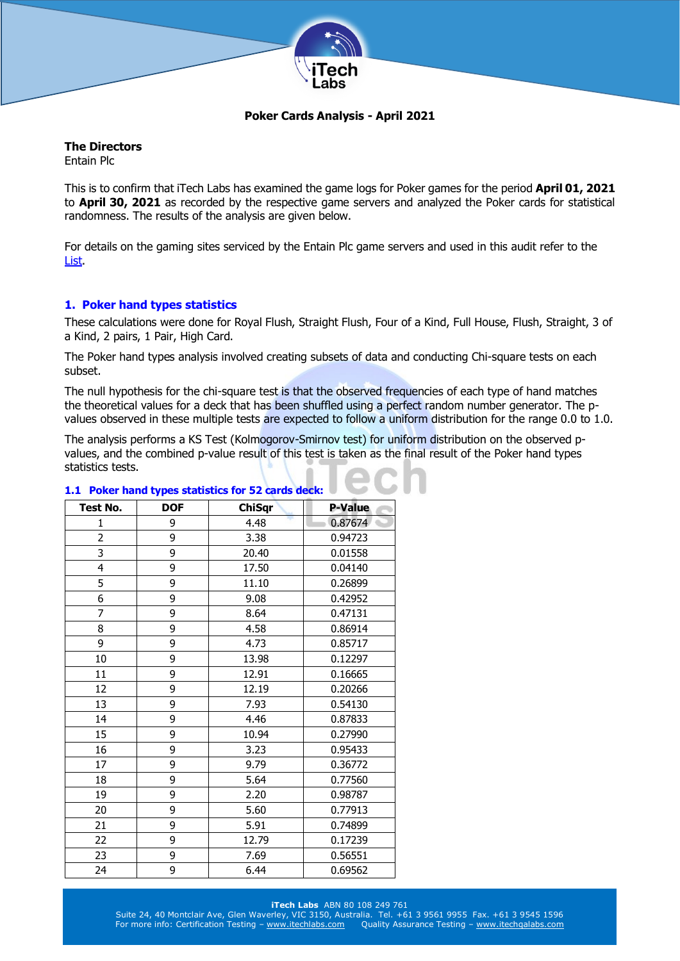

# **Poker Cards Analysis - April 2021**

# **The Directors**

Entain Plc

This is to confirm that iTech Labs has examined the game logs for Poker games for the period **April 01, 2021** to **April 30, 2021** as recorded by the respective game servers and analyzed the Poker cards for statistical randomness. The results of the analysis are given below.

For details on the gaming sites serviced by the Entain Plc game servers and used in this audit refer to the [List.](http://www.itechlabs.com/certificates/Entain/Poker_Gaming_Sites_Apr21.pdf)

# **1. Poker hand types statistics**

These calculations were done for Royal Flush, Straight Flush, Four of a Kind, Full House, Flush, Straight, 3 of a Kind, 2 pairs, 1 Pair, High Card.

The Poker hand types analysis involved creating subsets of data and conducting Chi-square tests on each subset.

The null hypothesis for the chi-square test is that the observed frequencies of each type of hand matches the theoretical values for a deck that has been shuffled using a perfect random number generator. The pvalues observed in these multiple tests are expected to follow a uniform distribution for the range 0.0 to 1.0.

The analysis performs a KS Test (Kolmogorov-Smirnov test) for uniform distribution on the observed pvalues, and the combined p-value result of this test is taken as the final result of the Poker hand types statistics tests.

| <b>Test No.</b> | <b>DOF</b> | <b>ChiSqr</b> | <b>P-Value</b> |
|-----------------|------------|---------------|----------------|
| 1               | 9          | 4.48          | 0.87674        |
| $\overline{c}$  | 9          | 3.38          | 0.94723        |
| 3               | 9          | 20.40         | 0.01558        |
| 4               | 9          | 17.50         | 0.04140        |
| 5               | 9          | 11.10         | 0.26899        |
| 6               | 9          | 9.08          | 0.42952        |
| 7               | 9          | 8.64          | 0.47131        |
| 8               | 9          | 4.58          | 0.86914        |
| 9               | 9          | 4.73          | 0.85717        |
| 10              | 9          | 13.98         | 0.12297        |
| 11              | 9          | 12.91         | 0.16665        |
| 12              | 9          | 12.19         | 0.20266        |
| 13              | 9          | 7.93          | 0.54130        |
| 14              | 9          | 4.46          | 0.87833        |
| 15              | 9          | 10.94         | 0.27990        |
| 16              | 9          | 3.23          | 0.95433        |
| 17              | 9          | 9.79          | 0.36772        |
| 18              | 9          | 5.64          | 0.77560        |
| 19              | 9          | 2.20          | 0.98787        |
| 20              | 9          | 5.60          | 0.77913        |
| 21              | 9          | 5.91          | 0.74899        |
| 22              | 9          | 12.79         | 0.17239        |
| 23              | 9          | 7.69          | 0.56551        |
| 24              | 9          | 6.44          | 0.69562        |

## **1.1 Poker hand types statistics for 52 cards deck:**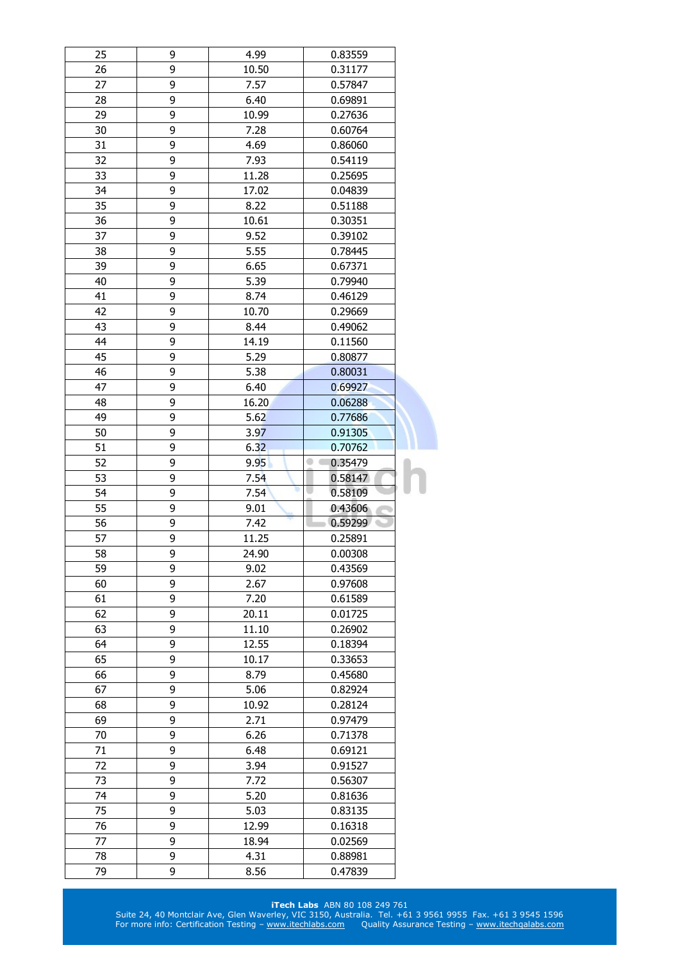| 25 | 9 | 4.99  | 0.83559      |  |
|----|---|-------|--------------|--|
| 26 | 9 | 10.50 | 0.31177      |  |
| 27 | 9 | 7.57  | 0.57847      |  |
| 28 | 9 | 6.40  | 0.69891      |  |
| 29 | 9 | 10.99 | 0.27636      |  |
| 30 | 9 | 7.28  | 0.60764      |  |
| 31 | 9 | 4.69  | 0.86060      |  |
| 32 | 9 | 7.93  | 0.54119      |  |
| 33 | 9 | 11.28 | 0.25695      |  |
| 34 | 9 | 17.02 | 0.04839      |  |
| 35 | 9 | 8.22  | 0.51188      |  |
| 36 | 9 | 10.61 | 0.30351      |  |
| 37 | 9 | 9.52  | 0.39102      |  |
| 38 | 9 | 5.55  | 0.78445      |  |
| 39 | 9 | 6.65  | 0.67371      |  |
| 40 | 9 | 5.39  | 0.79940      |  |
| 41 | 9 | 8.74  | 0.46129      |  |
| 42 | 9 | 10.70 | 0.29669      |  |
| 43 | 9 | 8.44  | 0.49062      |  |
| 44 | 9 | 14.19 | 0.11560      |  |
| 45 | 9 | 5.29  | 0.80877      |  |
| 46 | 9 | 5.38  | 0.80031      |  |
| 47 | 9 | 6.40  | 0.69927      |  |
| 48 | 9 | 16.20 |              |  |
|    |   |       | 0.06288      |  |
| 49 | 9 | 5.62  | 0.77686      |  |
| 50 | 9 | 3.97  | 0.91305      |  |
| 51 | 9 | 6.32  | 0.70762      |  |
| 52 | 9 | 9.95  | 0.35479<br>۰ |  |
|    |   |       |              |  |
| 53 | 9 | 7.54  | 0.58147      |  |
| 54 | 9 | 7.54  | 0.58109      |  |
| 55 | 9 | 9.01  | 0.43606      |  |
| 56 | 9 | 7.42  | 0.59299      |  |
| 57 | 9 | 11.25 | 0.25891      |  |
| 58 | 9 | 24.90 | 0.00308      |  |
| 59 | 9 | 9.02  | 0.43569      |  |
| 60 | 9 | 2.67  | 0.97608      |  |
| 61 | 9 | 7.20  | 0.61589      |  |
| 62 | 9 | 20.11 | 0.01725      |  |
| 63 | 9 | 11.10 | 0.26902      |  |
| 64 | 9 | 12.55 | 0.18394      |  |
| 65 | 9 | 10.17 | 0.33653      |  |
| 66 | 9 | 8.79  | 0.45680      |  |
| 67 | 9 | 5.06  | 0.82924      |  |
| 68 | 9 | 10.92 | 0.28124      |  |
| 69 | 9 | 2.71  | 0.97479      |  |
| 70 | 9 | 6.26  | 0.71378      |  |
| 71 | 9 | 6.48  | 0.69121      |  |
| 72 | 9 | 3.94  | 0.91527      |  |
| 73 | 9 | 7.72  | 0.56307      |  |
| 74 | 9 | 5.20  | 0.81636      |  |
| 75 | 9 | 5.03  | 0.83135      |  |
| 76 | 9 | 12.99 | 0.16318      |  |
| 77 | 9 | 18.94 | 0.02569      |  |
| 78 | 9 | 4.31  | 0.88981      |  |
| 79 | 9 | 8.56  | 0.47839      |  |

#### **iTech Labs** ABN 80 108 249 761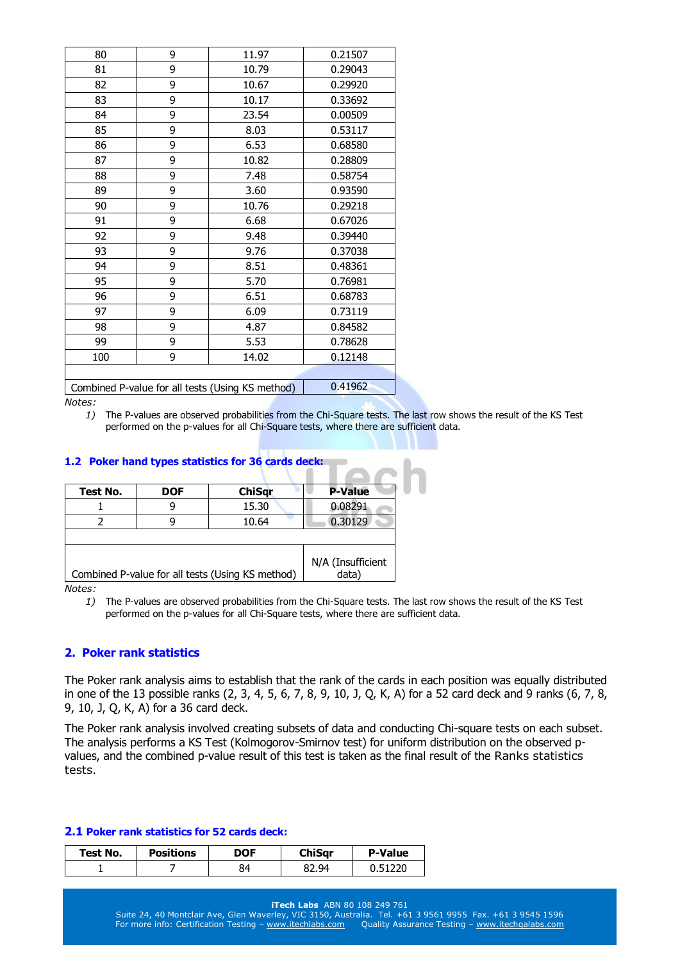| 80  | 9 | 11.97                                            | 0.21507 |
|-----|---|--------------------------------------------------|---------|
| 81  | 9 | 10.79                                            | 0.29043 |
| 82  | 9 | 10.67                                            | 0.29920 |
| 83  | 9 | 10.17                                            | 0.33692 |
| 84  | 9 | 23.54                                            | 0.00509 |
| 85  | 9 | 8.03                                             | 0.53117 |
| 86  | 9 | 6.53                                             | 0.68580 |
| 87  | 9 | 10.82                                            | 0.28809 |
| 88  | 9 | 7.48                                             | 0.58754 |
| 89  | 9 | 3.60                                             | 0.93590 |
| 90  | 9 | 10.76                                            | 0.29218 |
| 91  | 9 | 6.68                                             | 0.67026 |
| 92  | 9 | 9.48                                             | 0.39440 |
| 93  | 9 | 9.76                                             | 0.37038 |
| 94  | 9 | 8.51                                             | 0.48361 |
| 95  | 9 | 5.70                                             | 0.76981 |
| 96  | 9 | 6.51                                             | 0.68783 |
| 97  | 9 | 6.09                                             | 0.73119 |
| 98  | 9 | 4.87                                             | 0.84582 |
| 99  | 9 | 5.53                                             | 0.78628 |
| 100 | 9 | 14.02                                            | 0.12148 |
|     |   |                                                  |         |
|     |   | Combined P-value for all tests (Using KS method) | 0.41962 |

*1)* The P-values are observed probabilities from the Chi-Square tests. The last row shows the result of the KS Test performed on the p-values for all Chi-Square tests, where there are sufficient data.

## **1.2 Poker hand types statistics for 36 cards deck:**

| Test No. | <b>DOF</b> | <b>ChiSqr</b>                                    | <b>P-Value</b>             |
|----------|------------|--------------------------------------------------|----------------------------|
|          |            | 15.30                                            | 0.08291                    |
|          |            | 10.64                                            | 0.30129                    |
|          |            |                                                  |                            |
|          |            | Combined P-value for all tests (Using KS method) | N/A (Insufficient<br>data) |

*Notes:* 

*1)* The P-values are observed probabilities from the Chi-Square tests. The last row shows the result of the KS Test performed on the p-values for all Chi-Square tests, where there are sufficient data.

#### **2. Poker rank statistics**

The Poker rank analysis aims to establish that the rank of the cards in each position was equally distributed in one of the 13 possible ranks (2, 3, 4, 5, 6, 7, 8, 9, 10, J, Q, K, A) for a 52 card deck and 9 ranks (6, 7, 8, 9, 10, J, Q, K, A) for a 36 card deck.

The Poker rank analysis involved creating subsets of data and conducting Chi-square tests on each subset. The analysis performs a KS Test (Kolmogorov-Smirnov test) for uniform distribution on the observed pvalues, and the combined p-value result of this test is taken as the final result of the Ranks statistics tests.

#### **2.1 Poker rank statistics for 52 cards deck:**

| Test No. | <b>Positions</b> | DOF | ChiSar | <b>P-Value</b> |
|----------|------------------|-----|--------|----------------|
|          |                  | 84  | 82.94  | 1220           |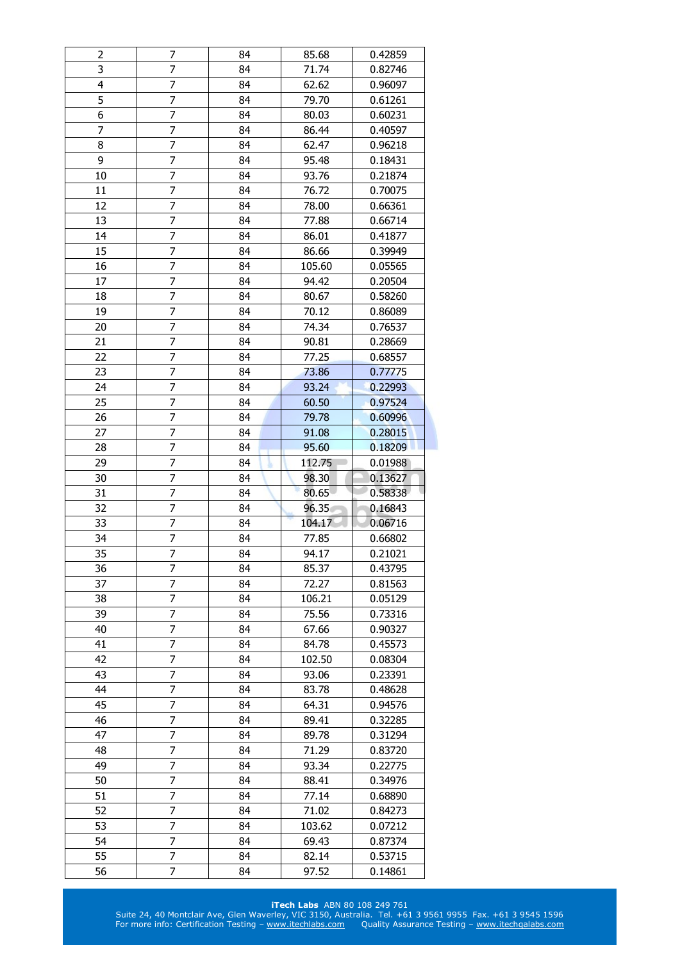| 2              | 7              | 84 | 85.68  | 0.42859 |
|----------------|----------------|----|--------|---------|
| 3              | 7              | 84 | 71.74  | 0.82746 |
| $\overline{4}$ | $\overline{7}$ | 84 | 62.62  | 0.96097 |
| 5              | 7              | 84 | 79.70  | 0.61261 |
| 6              | 7              | 84 | 80.03  | 0.60231 |
| 7              | $\overline{7}$ | 84 | 86.44  | 0.40597 |
| 8              | $\overline{7}$ | 84 | 62.47  | 0.96218 |
| 9              | 7              | 84 | 95.48  | 0.18431 |
| 10             | 7              | 84 | 93.76  | 0.21874 |
| 11             | $\overline{7}$ | 84 | 76.72  | 0.70075 |
| 12             | 7              | 84 | 78.00  | 0.66361 |
| 13             | 7              | 84 | 77.88  | 0.66714 |
| 14             | 7              | 84 | 86.01  | 0.41877 |
| 15             | 7              | 84 | 86.66  | 0.39949 |
| 16             | $\overline{7}$ | 84 | 105.60 | 0.05565 |
| 17             | 7              | 84 | 94.42  | 0.20504 |
| 18             | 7              | 84 | 80.67  | 0.58260 |
| 19             | 7              | 84 | 70.12  | 0.86089 |
| 20             | $\overline{7}$ | 84 | 74.34  | 0.76537 |
| 21             | 7              | 84 | 90.81  | 0.28669 |
| 22             | 7              | 84 | 77.25  |         |
|                |                |    |        | 0.68557 |
| 23             | 7              | 84 | 73.86  | 0.77775 |
| 24             | 7              | 84 | 93.24  | 0.22993 |
| 25             | 7              | 84 | 60.50  | 0.97524 |
| 26             | $\overline{7}$ | 84 | 79.78  | 0.60996 |
| 27             | 7              | 84 | 91.08  | 0.28015 |
| 28             | $\overline{7}$ | 84 | 95.60  | 0.18209 |
| 29             | 7              | 84 | 112.75 | 0.01988 |
|                |                |    |        |         |
| 30             | $\overline{7}$ | 84 | 98.30  | 0.13627 |
| 31             | 7              | 84 | 80.65  | 0.58338 |
| 32             | 7              | 84 | 96.35  | 0.16843 |
| 33             | 7              | 84 | 104.17 | 0.06716 |
| 34             | 7              | 84 | 77.85  | 0.66802 |
| 35             | $\overline{7}$ | 84 | 94.17  | 0.21021 |
| 36             | 7              | 84 | 85.37  | 0.43795 |
| 37             | 7              | 84 | 72.27  | 0.81563 |
| 38             | 7              | 84 | 106.21 | 0.05129 |
| 39             | 7              | 84 | 75.56  | 0.73316 |
| 40             | 7              | 84 | 67.66  | 0.90327 |
| 41             | 7              | 84 | 84.78  | 0.45573 |
| 42             | 7              | 84 | 102.50 | 0.08304 |
| 43             | 7              | 84 | 93.06  | 0.23391 |
| 44             | 7              | 84 | 83.78  | 0.48628 |
| 45             | 7              | 84 | 64.31  | 0.94576 |
| 46             | 7              | 84 | 89.41  | 0.32285 |
| 47             | 7              | 84 | 89.78  | 0.31294 |
| 48             | 7              | 84 | 71.29  | 0.83720 |
| 49             | 7              | 84 | 93.34  | 0.22775 |
| 50             | 7              | 84 | 88.41  | 0.34976 |
| 51             | 7              | 84 | 77.14  | 0.68890 |
| 52             | 7              | 84 | 71.02  | 0.84273 |
| 53             | 7              | 84 | 103.62 | 0.07212 |
| 54             | 7              | 84 | 69.43  | 0.87374 |
| 55             | 7              | 84 | 82.14  | 0.53715 |

#### **iTech Labs** ABN 80 108 249 761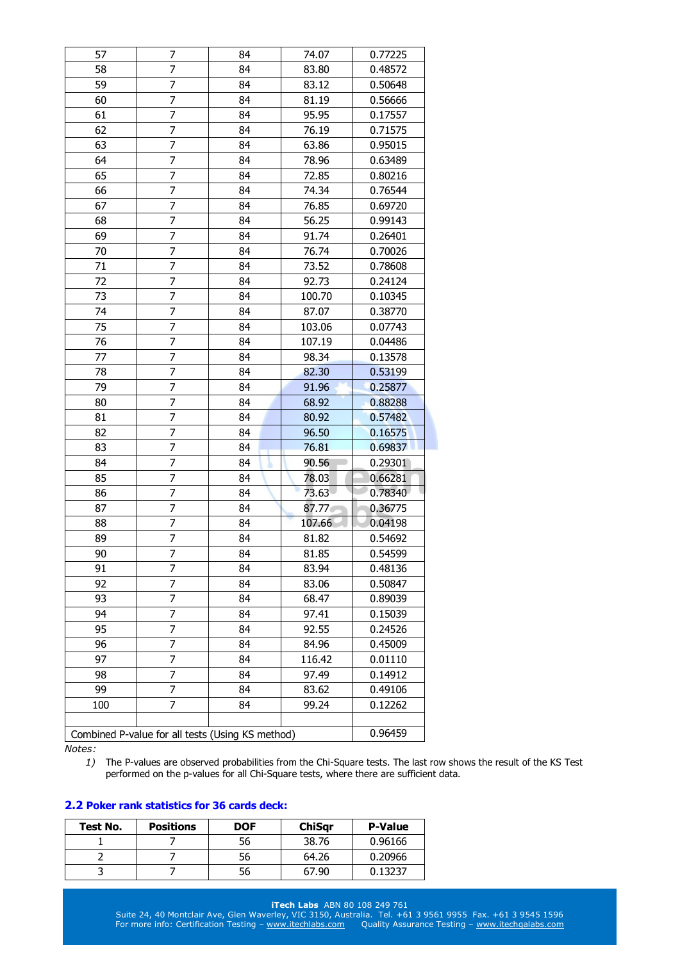| 57  | 7                                                | 84 | 74.07  | 0.77225 |
|-----|--------------------------------------------------|----|--------|---------|
| 58  | 7                                                | 84 | 83.80  | 0.48572 |
| 59  | 7                                                | 84 | 83.12  | 0.50648 |
| 60  | $\overline{7}$                                   | 84 | 81.19  | 0.56666 |
| 61  | 7                                                | 84 | 95.95  | 0.17557 |
| 62  | 7                                                | 84 | 76.19  | 0.71575 |
| 63  | 7                                                | 84 | 63.86  | 0.95015 |
| 64  | 7                                                | 84 | 78.96  | 0.63489 |
| 65  | 7                                                | 84 | 72.85  | 0.80216 |
| 66  | 7                                                | 84 | 74.34  | 0.76544 |
| 67  | 7                                                | 84 | 76.85  | 0.69720 |
| 68  | 7                                                | 84 | 56.25  | 0.99143 |
| 69  | 7                                                | 84 | 91.74  | 0.26401 |
| 70  | 7                                                | 84 | 76.74  | 0.70026 |
| 71  | 7                                                | 84 | 73.52  | 0.78608 |
| 72  | 7                                                | 84 | 92.73  | 0.24124 |
| 73  | 7                                                | 84 | 100.70 | 0.10345 |
| 74  | $\overline{7}$                                   | 84 | 87.07  | 0.38770 |
| 75  | 7                                                | 84 | 103.06 | 0.07743 |
| 76  | 7                                                | 84 | 107.19 | 0.04486 |
| 77  | 7                                                | 84 | 98.34  | 0.13578 |
| 78  | 7                                                | 84 | 82.30  | 0.53199 |
| 79  | $\overline{7}$                                   | 84 | 91.96  | 0.25877 |
| 80  | 7                                                | 84 | 68.92  | 0.88288 |
| 81  | 7                                                | 84 | 80.92  | 0.57482 |
| 82  | 7                                                | 84 | 96.50  | 0.16575 |
| 83  | 7                                                | 84 | 76.81  | 0.69837 |
| 84  | $\overline{7}$                                   | 84 | 90.56  | 0.29301 |
| 85  | $\overline{7}$                                   | 84 | 78.03  | 0.66281 |
| 86  | 7                                                | 84 | 73.63  | 0.78340 |
| 87  | 7                                                | 84 | 87.77  | 0.36775 |
| 88  | 7                                                | 84 | 107.66 | 0.04198 |
| 89  | 7                                                | 84 | 81.82  | 0.54692 |
| 90  | $\overline{7}$                                   | 84 | 81.85  | 0.54599 |
| 91  | 7                                                | 84 | 83.94  | 0.48136 |
| 92  | 7                                                | 84 | 83.06  | 0.50847 |
| 93  | 7                                                | 84 | 68.47  | 0.89039 |
| 94  | 7                                                | 84 | 97.41  | 0.15039 |
| 95  | 7                                                | 84 | 92.55  | 0.24526 |
| 96  | 7                                                | 84 | 84.96  | 0.45009 |
| 97  | 7                                                | 84 | 116.42 | 0.01110 |
| 98  | 7                                                | 84 | 97.49  | 0.14912 |
| 99  | 7                                                | 84 | 83.62  | 0.49106 |
| 100 | 7                                                | 84 | 99.24  | 0.12262 |
|     |                                                  |    |        |         |
|     | Combined P-value for all tests (Using KS method) |    |        | 0.96459 |

*1)* The P-values are observed probabilities from the Chi-Square tests. The last row shows the result of the KS Test performed on the p-values for all Chi-Square tests, where there are sufficient data.

# **2.2 Poker rank statistics for 36 cards deck:**

| Test No. | <b>Positions</b> | <b>DOF</b> | <b>ChiSar</b> | <b>P-Value</b> |
|----------|------------------|------------|---------------|----------------|
|          |                  | 56         | 38.76         | 0.96166        |
|          |                  | 56         | 64.26         | 0.20966        |
|          |                  | 56         | 67.90         | 0.13237        |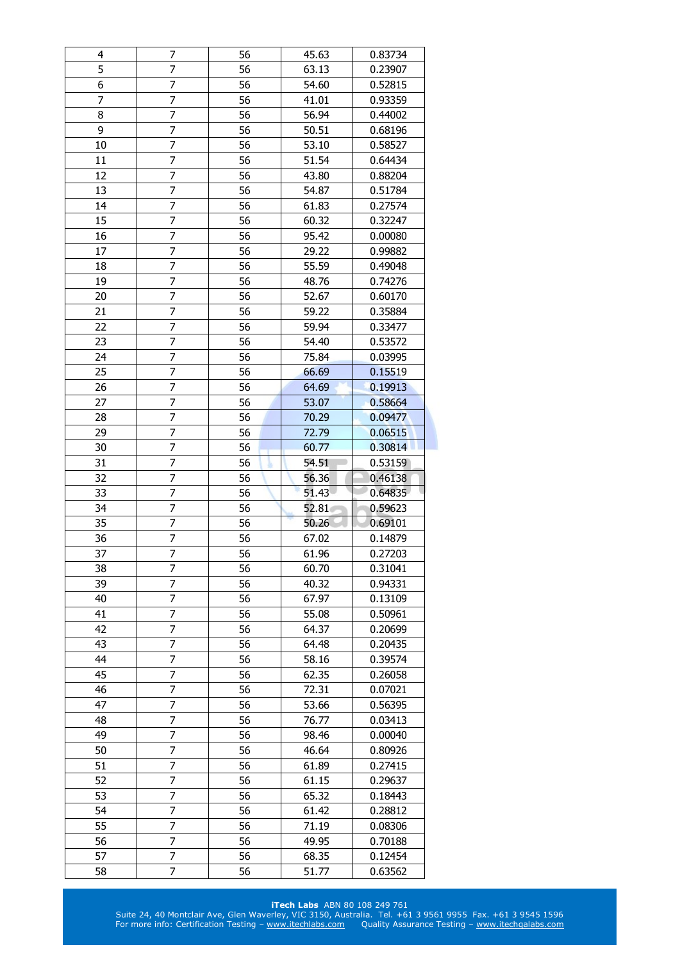| 4  | 7              | 56 | 45.63 | 0.83734 |
|----|----------------|----|-------|---------|
| 5  | 7              | 56 | 63.13 | 0.23907 |
| 6  | $\overline{7}$ | 56 | 54.60 | 0.52815 |
| 7  | 7              | 56 | 41.01 | 0.93359 |
| 8  | 7              | 56 | 56.94 | 0.44002 |
| 9  | $\overline{7}$ | 56 | 50.51 | 0.68196 |
| 10 | 7              | 56 | 53.10 | 0.58527 |
| 11 | 7              | 56 | 51.54 | 0.64434 |
| 12 | 7              | 56 | 43.80 | 0.88204 |
| 13 | $\overline{7}$ | 56 | 54.87 | 0.51784 |
| 14 | 7              | 56 | 61.83 | 0.27574 |
| 15 | 7              | 56 | 60.32 | 0.32247 |
| 16 | 7              | 56 | 95.42 | 0.00080 |
| 17 | 7              | 56 | 29.22 | 0.99882 |
| 18 | $\overline{7}$ | 56 | 55.59 | 0.49048 |
| 19 | 7              | 56 | 48.76 | 0.74276 |
| 20 | 7              | 56 | 52.67 | 0.60170 |
| 21 | 7              | 56 | 59.22 | 0.35884 |
| 22 | $\overline{7}$ | 56 | 59.94 | 0.33477 |
| 23 | 7              | 56 | 54.40 | 0.53572 |
| 24 | 7              | 56 | 75.84 | 0.03995 |
| 25 | $\overline{7}$ | 56 | 66.69 | 0.15519 |
|    |                |    |       |         |
| 26 | 7              | 56 | 64.69 | 0.19913 |
| 27 | 7              | 56 | 53.07 | 0.58664 |
| 28 | $\overline{7}$ | 56 | 70.29 | 0.09477 |
| 29 | 7              | 56 | 72.79 | 0.06515 |
| 30 | $\overline{7}$ | 56 | 60.77 | 0.30814 |
| 31 | 7              | 56 | 54.51 | 0.53159 |
| 32 | $\overline{7}$ | 56 | 56.36 | 0.46138 |
| 33 | 7              | 56 | 51.43 | 0.64835 |
| 34 | 7              | 56 | 52.81 | 0.59623 |
| 35 | 7              | 56 | 50.26 | 0.69101 |
| 36 | 7              | 56 | 67.02 | 0.14879 |
| 37 | $\overline{7}$ | 56 | 61.96 | 0.27203 |
| 38 | 7              | 56 | 60.70 | 0.31041 |
| 39 | 7              | 56 | 40.32 | 0.94331 |
| 40 | 7              | 56 | 67.97 | 0.13109 |
| 41 | 7              | 56 | 55.08 | 0.50961 |
| 42 | 7              | 56 | 64.37 | 0.20699 |
| 43 | 7              | 56 | 64.48 | 0.20435 |
| 44 | 7              | 56 | 58.16 | 0.39574 |
| 45 | 7              | 56 | 62.35 | 0.26058 |
| 46 | 7              | 56 | 72.31 | 0.07021 |
| 47 | 7              | 56 | 53.66 | 0.56395 |
| 48 | 7              | 56 | 76.77 | 0.03413 |
| 49 | 7              | 56 | 98.46 | 0.00040 |
| 50 | 7              | 56 | 46.64 | 0.80926 |
| 51 | 7              | 56 | 61.89 | 0.27415 |
| 52 | 7              | 56 | 61.15 | 0.29637 |
| 53 | 7              | 56 | 65.32 | 0.18443 |
| 54 | 7              | 56 | 61.42 | 0.28812 |
| 55 | 7              | 56 | 71.19 | 0.08306 |
| 56 | 7              | 56 | 49.95 | 0.70188 |
| 57 | 7              | 56 | 68.35 | 0.12454 |
| 58 | 7              | 56 | 51.77 | 0.63562 |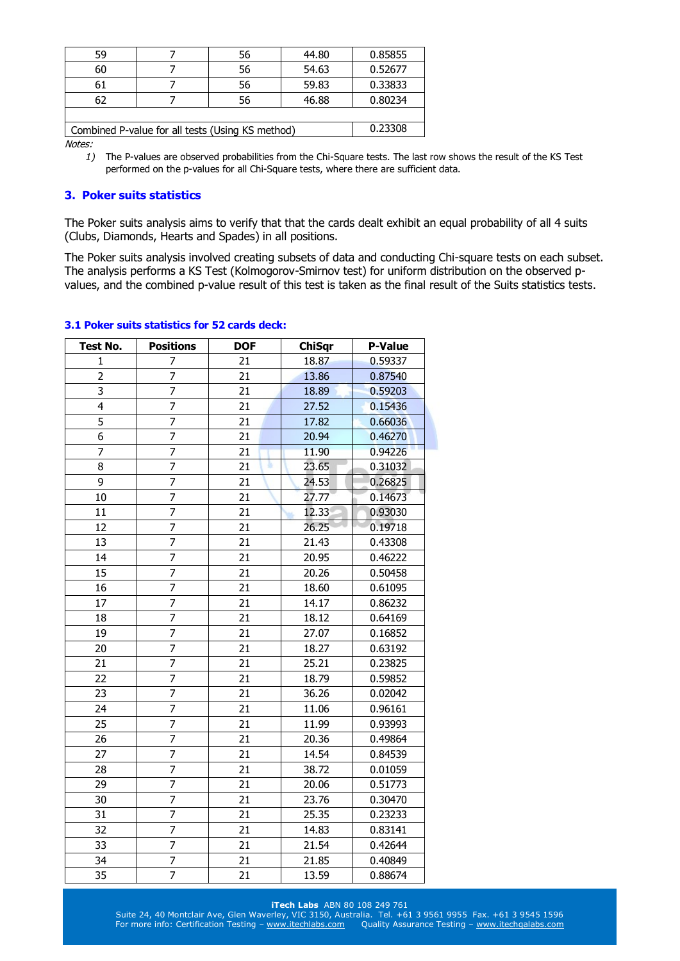| 59 |                                                  | 56 | 44.80 | 0.85855 |
|----|--------------------------------------------------|----|-------|---------|
| 60 |                                                  | 56 | 54.63 | 0.52677 |
| 61 |                                                  | 56 | 59.83 | 0.33833 |
| 62 |                                                  | 56 | 46.88 | 0.80234 |
|    |                                                  |    |       |         |
|    | Combined P-value for all tests (Using KS method) |    |       | 0.23308 |
|    |                                                  |    |       |         |

*1)* The P-values are observed probabilities from the Chi-Square tests. The last row shows the result of the KS Test performed on the p-values for all Chi-Square tests, where there are sufficient data.

# **3. Poker suits statistics**

The Poker suits analysis aims to verify that that the cards dealt exhibit an equal probability of all 4 suits (Clubs, Diamonds, Hearts and Spades) in all positions.

The Poker suits analysis involved creating subsets of data and conducting Chi-square tests on each subset. The analysis performs a KS Test (Kolmogorov-Smirnov test) for uniform distribution on the observed pvalues, and the combined p-value result of this test is taken as the final result of the Suits statistics tests.

| <b>Test No.</b> | <b>Positions</b> | <b>DOF</b> | <b>ChiSqr</b> | <b>P-Value</b> |
|-----------------|------------------|------------|---------------|----------------|
| $\mathbf 1$     | 7                | 21         | 18.87         | 0.59337        |
| $\overline{2}$  | $\overline{7}$   | 21         | 13.86         | 0.87540        |
| 3               | 7                | 21         | 18.89         | 0.59203        |
| 4               | $\overline{7}$   | 21         | 27.52         | 0.15436        |
| 5               | $\overline{7}$   | 21         | 17.82         | 0.66036        |
| 6               | 7                | 21         | 20.94         | 0.46270        |
| 7               | $\overline{7}$   | 21         | 11.90         | 0.94226        |
| 8               | $\overline{7}$   | 21         | 23.65         | 0.31032        |
| 9               | 7                | 21         | 24.53         | 0.26825        |
| 10              | 7                | 21         | 27.77         | 0.14673        |
| 11              | 7                | 21         | 12.33         | 0.93030        |
| 12              | $\overline{7}$   | 21         | 26.25         | 0.19718        |
| 13              | 7                | 21         | 21.43         | 0.43308        |
| 14              | $\overline{7}$   | 21         | 20.95         | 0.46222        |
| 15              | $\overline{7}$   | 21         | 20.26         | 0.50458        |
| 16              | $\overline{7}$   | 21         | 18.60         | 0.61095        |
| 17              | 7                | 21         | 14.17         | 0.86232        |
| 18              | $\overline{7}$   | 21         | 18.12         | 0.64169        |
| 19              | $\overline{7}$   | 21         | 27.07         | 0.16852        |
| 20              | $\overline{7}$   | 21         | 18.27         | 0.63192        |
| 21              | 7                | 21         | 25.21         | 0.23825        |
| 22              | $\overline{7}$   | 21         | 18.79         | 0.59852        |
| 23              | $\overline{7}$   | 21         | 36.26         | 0.02042        |
| 24              | $\overline{7}$   | 21         | 11.06         | 0.96161        |
| 25              | $\overline{7}$   | 21         | 11.99         | 0.93993        |
| 26              | $\overline{7}$   | 21         | 20.36         | 0.49864        |
| 27              | 7                | 21         | 14.54         | 0.84539        |
| 28              | $\overline{7}$   | 21         | 38.72         | 0.01059        |
| 29              | $\overline{7}$   | 21         | 20.06         | 0.51773        |
| 30              | $\overline{7}$   | 21         | 23.76         | 0.30470        |
| 31              | 7                | 21         | 25.35         | 0.23233        |
| 32              | 7                | 21         | 14.83         | 0.83141        |
| 33              | $\overline{7}$   | 21         | 21.54         | 0.42644        |
| 34              | 7                | 21         | 21.85         | 0.40849        |
| 35              | $\overline{7}$   | 21         | 13.59         | 0.88674        |

# **3.1 Poker suits statistics for 52 cards deck:**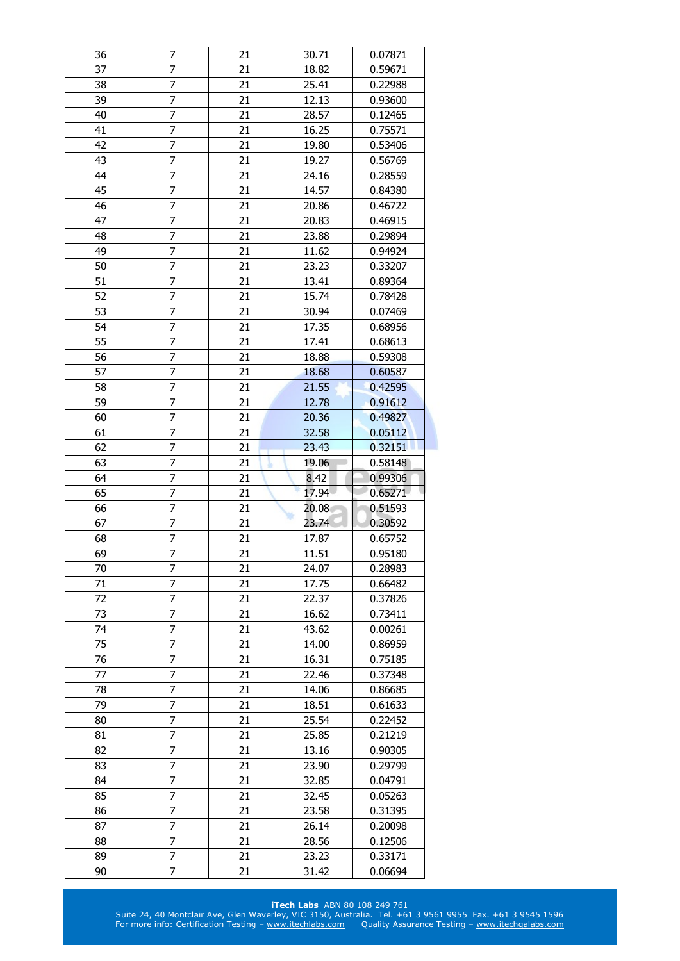| 36       | 7                        | 21       | 30.71          | 0.07871            |
|----------|--------------------------|----------|----------------|--------------------|
| 37       | 7                        | 21       | 18.82          | 0.59671            |
| 38       | 7                        | 21       | 25.41          | 0.22988            |
| 39       | 7                        | 21       | 12.13          | 0.93600            |
| 40       | $\overline{7}$           | 21       | 28.57          | 0.12465            |
| 41       | $\overline{7}$           | 21       | 16.25          | 0.75571            |
| 42       | 7                        | 21       | 19.80          | 0.53406            |
| 43       | $\overline{7}$           | 21       | 19.27          | 0.56769            |
| 44       | $\overline{7}$           | 21       | 24.16          | 0.28559            |
| 45       | $\overline{7}$           | 21       | 14.57          | 0.84380            |
| 46       | 7                        | 21       | 20.86          | 0.46722            |
| 47       | 7                        | 21       | 20.83          | 0.46915            |
| 48       | $\overline{7}$           | 21       | 23.88          | 0.29894            |
| 49       | 7                        | 21       | 11.62          | 0.94924            |
| 50       | $\overline{7}$           | 21       | 23.23          | 0.33207            |
| 51       | 7                        | 21       | 13.41          | 0.89364            |
| 52       | $\overline{7}$           | 21       | 15.74          | 0.78428            |
| 53       | 7                        | 21       | 30.94          | 0.07469            |
| 54       | 7                        | 21       | 17.35          | 0.68956            |
| 55       | $\overline{\mathcal{I}}$ | 21       | 17.41          | 0.68613            |
| 56       | 7                        | 21       |                |                    |
|          |                          |          | 18.88          | 0.59308            |
| 57       | 7                        | 21       | 18.68          | 0.60587            |
| 58       | 7                        | 21       | 21.55          | 0.42595            |
| 59       | $\overline{7}$           | 21       | 12.78          | 0.91612            |
| 60       | $\overline{7}$           | 21       | 20.36          | 0.49827            |
| 61       | 7                        | 21       | 32.58          | 0.05112            |
| 62       | 7                        | 21       | 23.43          | 0.32151            |
| 63       | 7                        | 21       | 19.06          | 0.58148            |
|          |                          |          |                |                    |
| 64       | 7                        | 21       | 8.42           | 0.99306            |
| 65       | 7                        | 21       | 17.94          | 0.65271            |
| 66       | 7                        | 21       | 20.08          | 0.51593            |
| 67       | $\overline{7}$           | 21       | 23.74          | 0.30592            |
| 68       | 7                        | 21       | 17.87          | 0.65752            |
| 69       | 7                        | 21       | 11.51          | 0.95180            |
| 70       | 7                        | 21       | 24.07          | 0.28983            |
| 71       | 7                        | 21       | 17.75          | 0.66482            |
| 72       | 7                        | 21       | 22.37          | 0.37826            |
| 73       | 7                        | 21       | 16.62          | 0.73411            |
| 74       | 7                        | 21       | 43.62          | 0.00261            |
| 75       | 7                        | 21       | 14.00          | 0.86959            |
| 76       | 7                        | 21       | 16.31          | 0.75185            |
| 77       | 7                        | 21       | 22.46          | 0.37348            |
| 78       | $\overline{7}$           | 21       | 14.06          | 0.86685            |
| 79       | 7                        | 21       | 18.51          | 0.61633            |
| 80       | 7                        | 21       | 25.54          | 0.22452            |
| 81       | 7                        | 21       | 25.85          | 0.21219            |
| 82       | 7                        | 21       | 13.16          | 0.90305            |
| 83       | $\overline{7}$           | 21       | 23.90          | 0.29799            |
| 84       | $\overline{7}$           | 21       | 32.85          | 0.04791            |
| 85       | 7                        | 21       | 32.45          | 0.05263            |
| 86       | $\overline{7}$           | 21       | 23.58          | 0.31395            |
| 87       | 7                        |          |                |                    |
|          |                          | 21       | 26.14          | 0.20098            |
| 88<br>89 | 7<br>7                   | 21<br>21 | 28.56          | 0.12506            |
| 90       | 7                        | 21       | 23.23<br>31.42 | 0.33171<br>0.06694 |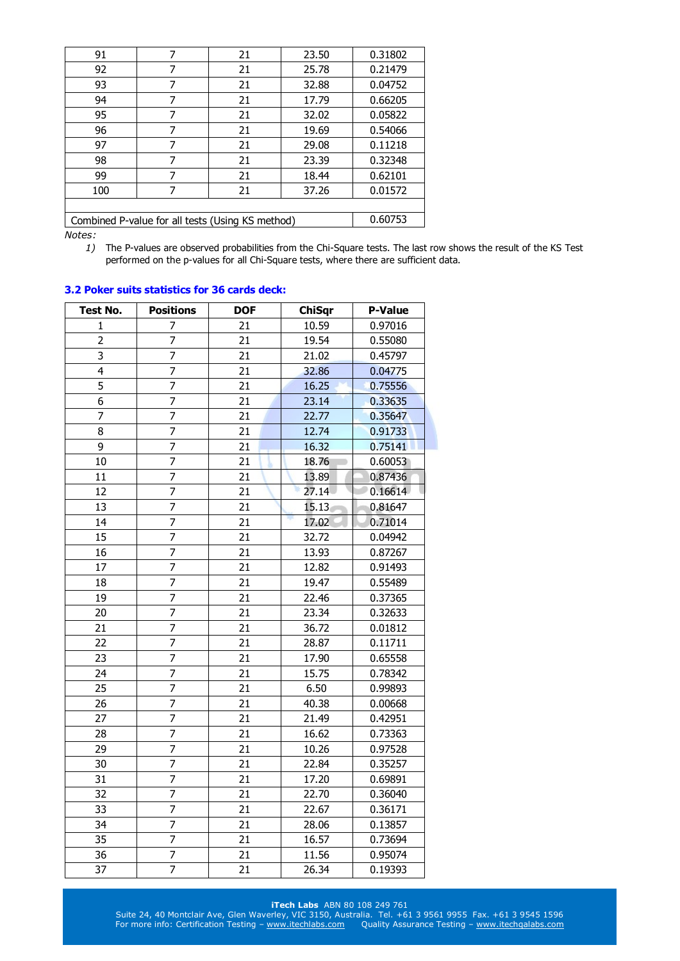| 91                                               | 7 | 21 | 23.50 | 0.31802 |
|--------------------------------------------------|---|----|-------|---------|
| 92                                               | 7 | 21 | 25.78 | 0.21479 |
| 93                                               | 7 | 21 | 32.88 | 0.04752 |
| 94                                               | 7 | 21 | 17.79 | 0.66205 |
| 95                                               | 7 | 21 | 32.02 | 0.05822 |
| 96                                               | 7 | 21 | 19.69 | 0.54066 |
| 97                                               | 7 | 21 | 29.08 | 0.11218 |
| 98                                               | 7 | 21 | 23.39 | 0.32348 |
| 99                                               | 7 | 21 | 18.44 | 0.62101 |
| 100                                              | 7 | 21 | 37.26 | 0.01572 |
|                                                  |   |    |       |         |
| Combined P-value for all tests (Using KS method) |   |    |       | 0.60753 |
| $1.1 - 1.1 - 1.1$                                |   |    |       |         |

*1)* The P-values are observed probabilities from the Chi-Square tests. The last row shows the result of the KS Test performed on the p-values for all Chi-Square tests, where there are sufficient data.

| Test No.       | <b>Positions</b> | <b>DOF</b> | <b>ChiSqr</b> | <b>P-Value</b> |
|----------------|------------------|------------|---------------|----------------|
| 1              | 7                | 21         | 10.59         | 0.97016        |
| $\overline{2}$ | $\overline{7}$   | 21         | 19.54         | 0.55080        |
| 3              | 7                | 21         | 21.02         | 0.45797        |
| $\overline{4}$ | 7                | 21         | 32.86         | 0.04775        |
| $\overline{5}$ | $\overline{7}$   | 21         | 16.25         | 0.75556        |
| 6              | 7                | 21         | 23.14         | 0.33635        |
| $\overline{7}$ | $\overline{7}$   | 21         | 22.77         | 0.35647        |
| 8              | $\overline{7}$   | 21         | 12.74         | 0.91733        |
| 9              | $\overline{7}$   | 21         | 16.32         | 0.75141        |
| 10             | 7                | 21         | 18.76         | 0.60053        |
| 11             | $\overline{7}$   | 21         | 13.89         | 0.87436        |
| 12             | 7                | 21         | 27.14         | 0.16614        |
| 13             | 7                | 21         | 15.13         | 0.81647        |
| 14             | $\overline{7}$   | 21         | 17.02         | 0.71014        |
| 15             | 7                | 21         | 32.72         | 0.04942        |
| 16             | 7                | 21         | 13.93         | 0.87267        |
| 17             | $\overline{7}$   | 21         | 12.82         | 0.91493        |
| 18             | $\overline{7}$   | 21         | 19.47         | 0.55489        |
| 19             | $\overline{7}$   | 21         | 22.46         | 0.37365        |
| 20             | $\overline{7}$   | 21         | 23.34         | 0.32633        |
| 21             | 7                | 21         | 36.72         | 0.01812        |
| 22             | $\overline{7}$   | 21         | 28.87         | 0.11711        |
| 23             | 7                | 21         | 17.90         | 0.65558        |
| 24             | $\overline{7}$   | 21         | 15.75         | 0.78342        |
| 25             | $\overline{7}$   | 21         | 6.50          | 0.99893        |
| 26             | $\overline{7}$   | 21         | 40.38         | 0.00668        |
| 27             | 7                | 21         | 21.49         | 0.42951        |
| 28             | $\overline{7}$   | 21         | 16.62         | 0.73363        |
| 29             | 7                | 21         | 10.26         | 0.97528        |
| 30             | 7                | 21         | 22.84         | 0.35257        |
| 31             | 7                | 21         | 17.20         | 0.69891        |
| 32             | 7                | 21         | 22.70         | 0.36040        |
| 33             | $\overline{7}$   | 21         | 22.67         | 0.36171        |
| 34             | $\overline{7}$   | 21         | 28.06         | 0.13857        |
| 35             | $\overline{7}$   | 21         | 16.57         | 0.73694        |
| 36             | $\overline{7}$   | 21         | 11.56         | 0.95074        |
| 37             | $\overline{7}$   | 21         | 26.34         | 0.19393        |

#### **3.2 Poker suits statistics for 36 cards deck:**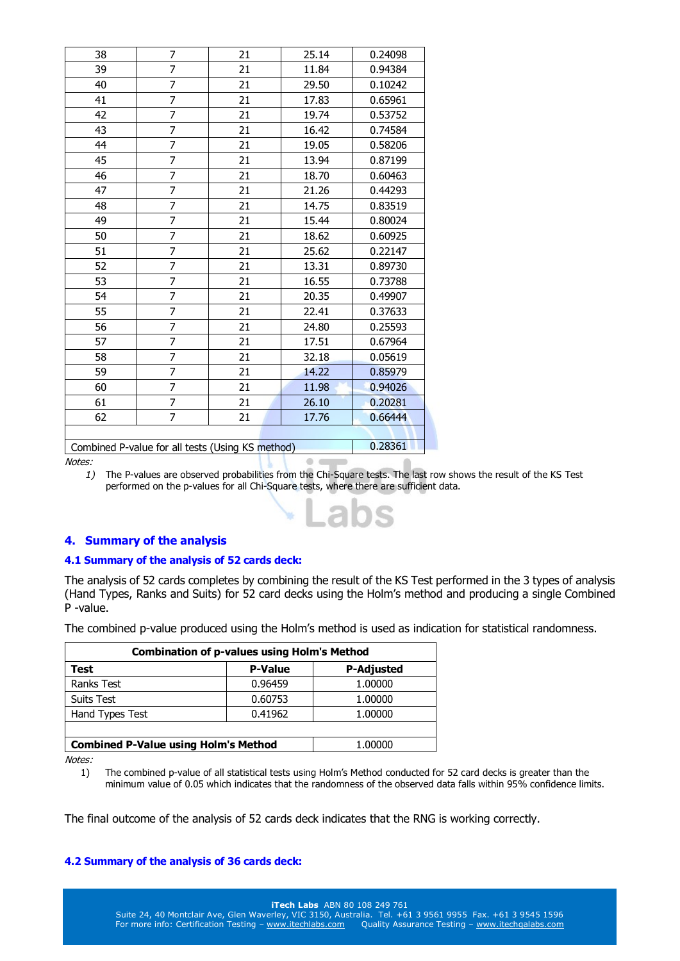| 38                                               | 7              | 21 | 25.14 | 0.24098 |
|--------------------------------------------------|----------------|----|-------|---------|
| 39                                               | $\overline{7}$ | 21 | 11.84 | 0.94384 |
| 40                                               | 7              | 21 | 29.50 | 0.10242 |
| 41                                               | 7              | 21 | 17.83 | 0.65961 |
| 42                                               | 7              | 21 | 19.74 | 0.53752 |
| 43                                               | $\overline{7}$ | 21 | 16.42 | 0.74584 |
| 44                                               | 7              | 21 | 19.05 | 0.58206 |
| 45                                               | 7              | 21 | 13.94 | 0.87199 |
| 46                                               | 7              | 21 | 18.70 | 0.60463 |
| 47                                               | $\overline{7}$ | 21 | 21.26 | 0.44293 |
| 48                                               | $\overline{7}$ | 21 | 14.75 | 0.83519 |
| 49                                               | 7              | 21 | 15.44 | 0.80024 |
| 50                                               | $\overline{7}$ | 21 | 18.62 | 0.60925 |
| 51                                               | $\overline{7}$ | 21 | 25.62 | 0.22147 |
| 52                                               | $\overline{7}$ | 21 | 13.31 | 0.89730 |
| 53                                               | 7              | 21 | 16.55 | 0.73788 |
| 54                                               | 7              | 21 | 20.35 | 0.49907 |
| 55                                               | 7              | 21 | 22.41 | 0.37633 |
| 56                                               | $\overline{7}$ | 21 | 24.80 | 0.25593 |
| 57                                               | 7              | 21 | 17.51 | 0.67964 |
| 58                                               | 7              | 21 | 32.18 | 0.05619 |
| 59                                               | $\overline{7}$ | 21 | 14.22 | 0.85979 |
| 60                                               | $\overline{7}$ | 21 | 11.98 | 0.94026 |
| 61                                               | $\overline{7}$ | 21 | 26.10 | 0.20281 |
| 62                                               | $\overline{7}$ | 21 | 17.76 | 0.66444 |
|                                                  |                |    |       |         |
| Combined P-value for all tests (Using KS method) |                |    |       | 0.28361 |

Notes:

*1)* The P-values are observed probabilities from the Chi-Square tests. The last row shows the result of the KS Test performed on the p-values for all Chi-Square tests, where there are sufficient data.

 $00$ 

## **4. Summary of the analysis**

#### **4.1 Summary of the analysis of 52 cards deck:**

The analysis of 52 cards completes by combining the result of the KS Test performed in the 3 types of analysis (Hand Types, Ranks and Suits) for 52 card decks using the Holm's method and producing a single Combined P -value.

The combined p-value produced using the Holm's method is used as indication for statistical randomness.

| <b>Combination of p-values using Holm's Method</b> |                |                   |  |
|----------------------------------------------------|----------------|-------------------|--|
| Test                                               | <b>P-Value</b> | <b>P-Adjusted</b> |  |
| <b>Ranks Test</b>                                  | 0.96459        | 1.00000           |  |
| Suits Test                                         | 0.60753        | 1.00000           |  |
| Hand Types Test                                    | 0.41962        | 1.00000           |  |
|                                                    |                |                   |  |
| <b>Combined P-Value using Holm's Method</b>        | 1.00000        |                   |  |

Notes:

1) The combined p-value of all statistical tests using Holm's Method conducted for 52 card decks is greater than the minimum value of 0.05 which indicates that the randomness of the observed data falls within 95% confidence limits.

The final outcome of the analysis of 52 cards deck indicates that the RNG is working correctly.

#### **4.2 Summary of the analysis of 36 cards deck:**